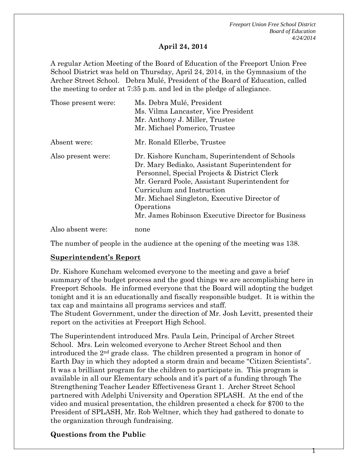*Freeport Union Free School District Board of Education 4/24/2014*

Т

#### **April 24, 2014**

A regular Action Meeting of the Board of Education of the Freeport Union Free School District was held on Thursday, April 24, 2014, in the Gymnasium of the Archer Street School. Debra Mulé, President of the Board of Education, called the meeting to order at 7:35 p.m. and led in the pledge of allegiance.

| Those present were: | Ms. Debra Mulé, President                                                                                                                                                                                                                                                                                                                            |
|---------------------|------------------------------------------------------------------------------------------------------------------------------------------------------------------------------------------------------------------------------------------------------------------------------------------------------------------------------------------------------|
|                     | Ms. Vilma Lancaster, Vice President                                                                                                                                                                                                                                                                                                                  |
|                     | Mr. Anthony J. Miller, Trustee                                                                                                                                                                                                                                                                                                                       |
|                     | Mr. Michael Pomerico, Trustee                                                                                                                                                                                                                                                                                                                        |
| Absent were:        | Mr. Ronald Ellerbe, Trustee                                                                                                                                                                                                                                                                                                                          |
| Also present were:  | Dr. Kishore Kuncham, Superintendent of Schools<br>Dr. Mary Bediako, Assistant Superintendent for<br>Personnel, Special Projects & District Clerk<br>Mr. Gerard Poole, Assistant Superintendent for<br>Curriculum and Instruction<br>Mr. Michael Singleton, Executive Director of<br>Operations<br>Mr. James Robinson Executive Director for Business |
| Also absent were:   | none                                                                                                                                                                                                                                                                                                                                                 |

The number of people in the audience at the opening of the meeting was 138.

#### **Superintendent's Report**

Dr. Kishore Kuncham welcomed everyone to the meeting and gave a brief summary of the budget process and the good things we are accomplishing here in Freeport Schools. He informed everyone that the Board will adopting the budget tonight and it is an educationally and fiscally responsible budget. It is within the tax cap and maintains all programs services and staff.

The Student Government, under the direction of Mr. Josh Levitt, presented their report on the activities at Freeport High School.

The Superintendent introduced Mrs. Paula Lein, Principal of Archer Street School. Mrs. Lein welcomed everyone to Archer Street School and then introduced the 2nd grade class. The children presented a program in honor of Earth Day in which they adopted a storm drain and became "Citizen Scientists". It was a brilliant program for the children to participate in. This program is available in all our Elementary schools and it's part of a funding through The Strengthening Teacher Leader Effectiveness Grant 1. Archer Street School partnered with Adelphi University and Operation SPLASH. At the end of the video and musical presentation, the children presented a check for \$700 to the President of SPLASH, Mr. Rob Weltner, which they had gathered to donate to the organization through fundraising.

#### **Questions from the Public**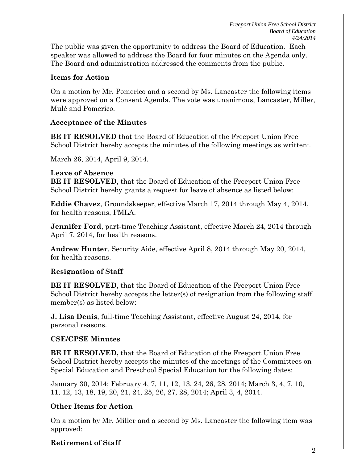*Freeport Union Free School District Board of Education 4/24/2014*

The public was given the opportunity to address the Board of Education. Each speaker was allowed to address the Board for four minutes on the Agenda only. The Board and administration addressed the comments from the public.

#### **Items for Action**

On a motion by Mr. Pomerico and a second by Ms. Lancaster the following items were approved on a Consent Agenda. The vote was unanimous, Lancaster, Miller, Mulé and Pomerico.

#### **Acceptance of the Minutes**

**BE IT RESOLVED** that the Board of Education of the Freeport Union Free School District hereby accepts the minutes of the following meetings as written:.

March 26, 2014, April 9, 2014.

#### **Leave of Absence**

**BE IT RESOLVED**, that the Board of Education of the Freeport Union Free School District hereby grants a request for leave of absence as listed below:

**Eddie Chavez**, Groundskeeper, effective March 17, 2014 through May 4, 2014, for health reasons, FMLA.

**Jennifer Ford**, part-time Teaching Assistant, effective March 24, 2014 through April 7, 2014, for health reasons.

**Andrew Hunter**, Security Aide, effective April 8, 2014 through May 20, 2014, for health reasons.

## **Resignation of Staff**

**BE IT RESOLVED**, that the Board of Education of the Freeport Union Free School District hereby accepts the letter(s) of resignation from the following staff member(s) as listed below:

**J. Lisa Denis**, full-time Teaching Assistant, effective August 24, 2014, for personal reasons.

## **CSE/CPSE Minutes**

**BE IT RESOLVED,** that the Board of Education of the Freeport Union Free School District hereby accepts the minutes of the meetings of the Committees on Special Education and Preschool Special Education for the following dates:

January 30, 2014; February 4, 7, 11, 12, 13, 24, 26, 28, 2014; March 3, 4, 7, 10, 11, 12, 13, 18, 19, 20, 21, 24, 25, 26, 27, 28, 2014; April 3, 4, 2014.

# **Other Items for Action**

On a motion by Mr. Miller and a second by Ms. Lancaster the following item was approved:

# **Retirement of Staff**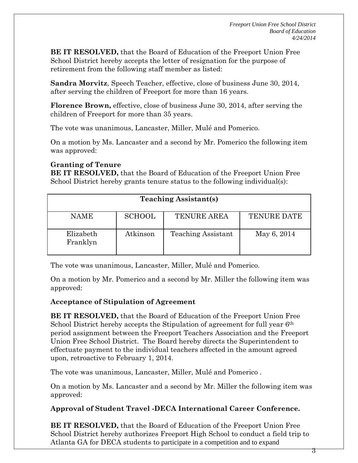**BE IT RESOLVED,** that the Board of Education of the Freeport Union Free School District hereby accepts the letter of resignation for the purpose of retirement from the following staff member as listed:

**Sandra Morvitz**, Speech Teacher, effective, close of business June 30, 2014, after serving the children of Freeport for more than 16 years.

**Florence Brown,** effective, close of business June 30, 2014, after serving the children of Freeport for more than 35 years.

The vote was unanimous, Lancaster, Miller, Mulé and Pomerico.

On a motion by Ms. Lancaster and a second by Mr. Pomerico the following item was approved:

## **Granting of Tenure**

**BE IT RESOLVED,** that the Board of Education of the Freeport Union Free School District hereby grants tenure status to the following individual(s):

| <b>Teaching Assistant(s)</b> |               |                           |                    |
|------------------------------|---------------|---------------------------|--------------------|
| <b>NAME</b>                  | <b>SCHOOL</b> | <b>TENURE AREA</b>        | <b>TENURE DATE</b> |
| Elizabeth<br>Franklyn        | Atkinson      | <b>Teaching Assistant</b> | May 6, 2014        |

The vote was unanimous, Lancaster, Miller, Mulé and Pomerico.

On a motion by Mr. Pomerico and a second by Mr. Miller the following item was approved:

## **Acceptance of Stipulation of Agreement**

**BE IT RESOLVED,** that the Board of Education of the Freeport Union Free School District hereby accepts the Stipulation of agreement for full year 6<sup>th</sup> period assignment between the Freeport Teachers Association and the Freeport Union Free School District. The Board hereby directs the Superintendent to effectuate payment to the individual teachers affected in the amount agreed upon, retroactive to February 1, 2014.

The vote was unanimous, Lancaster, Miller, Mulé and Pomerico .

On a motion by Ms. Lancaster and a second by Mr. Miller the following item was approved:

# **Approval of Student Travel -DECA International Career Conference.**

**BE IT RESOLVED,** that the Board of Education of the Freeport Union Free School District hereby authorizes Freeport High School to conduct a field trip to Atlanta GA for DECA students to participate in a competition and to expand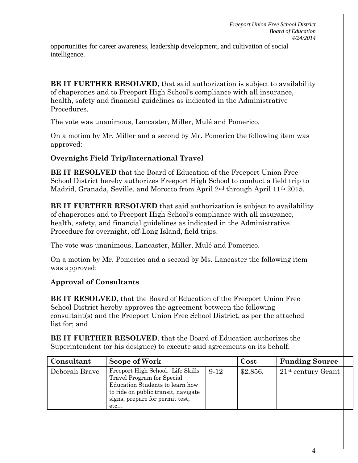4

opportunities for career awareness, leadership development, and cultivation of social intelligence.

**BE IT FURTHER RESOLVED, that said authorization is subject to availability** of chaperones and to Freeport High School's compliance with all insurance, health, safety and financial guidelines as indicated in the Administrative Procedures.

The vote was unanimous, Lancaster, Miller, Mulé and Pomerico.

On a motion by Mr. Miller and a second by Mr. Pomerico the following item was approved:

## **Overnight Field Trip/International Travel**

**BE IT RESOLVED** that the Board of Education of the Freeport Union Free School District hereby authorizes Freeport High School to conduct a field trip to Madrid, Granada, Seville, and Morocco from April 2nd through April 11th 2015.

**BE IT FURTHER RESOLVED** that said authorization is subject to availability of chaperones and to Freeport High School's compliance with all insurance, health, safety, and financial guidelines as indicated in the Administrative Procedure for overnight, off-Long Island, field trips.

The vote was unanimous, Lancaster, Miller, Mulé and Pomerico.

On a motion by Mr. Pomerico and a second by Ms. Lancaster the following item was approved:

## **Approval of Consultants**

**BE IT RESOLVED,** that the Board of Education of the Freeport Union Free School District hereby approves the agreement between the following consultant(s) and the Freeport Union Free School District, as per the attached list for; and

| Consultant    | <b>Scope of Work</b>                                                                                                                                                                |        | Cost     | <b>Funding Source</b> |  |
|---------------|-------------------------------------------------------------------------------------------------------------------------------------------------------------------------------------|--------|----------|-----------------------|--|
| Deborah Brave | Freeport High School. Life Skills<br>Travel Program for Special<br>Education Students to learn how<br>to ride on public transit, navigate<br>signs, prepare for permit test,<br>etc | $9-12$ | \$2,856. | $21st$ century Grant  |  |

**BE IT FURTHER RESOLVED**, that the Board of Education authorizes the Superintendent (or his designee) to execute said agreements on its behalf.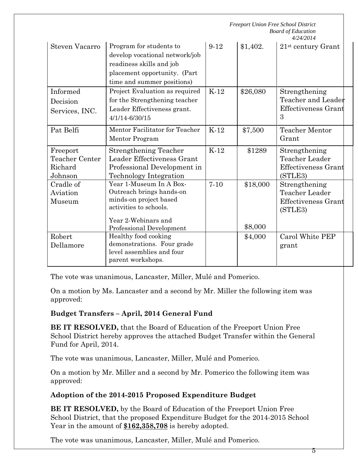|                                                  |                                                                                                                                                            |          |                     | <b>Freeport Union Free School District</b><br><b>Board of Education</b><br>4/24/2014 |  |
|--------------------------------------------------|------------------------------------------------------------------------------------------------------------------------------------------------------------|----------|---------------------|--------------------------------------------------------------------------------------|--|
| Steven Vacarro                                   | Program for students to<br>develop vocational network/job<br>readiness skills and job<br>placement opportunity. (Part<br>time and summer positions)        | $9-12$   | \$1,402.            | $21st$ century Grant                                                                 |  |
| Informed<br>Decision<br>Services, INC.           | Project Evaluation as required<br>for the Strengthening teacher<br>Leader Effectiveness grant.<br>4/1/14-6/30/15                                           | $K-12$   | \$26,080            | Strengthening<br>Teacher and Leader<br>Effectiveness Grant<br>3                      |  |
| Pat Belfi                                        | Mentor Facilitator for Teacher<br>Mentor Program                                                                                                           | $K-12$   | \$7,500             | <b>Teacher Mentor</b><br>Grant                                                       |  |
| Freeport<br>Teacher Center<br>Richard<br>Johnson | <b>Strengthening Teacher</b><br>Leader Effectiveness Grant<br>Professional Development in<br><b>Technology Integration</b>                                 | $K-12$   | \$1289              | Strengthening<br>Teacher Leader<br>Effectiveness Grant<br>(STLE3)                    |  |
| Cradle of<br>Aviation<br>Museum                  | Year 1-Museum In A Box-<br>Outreach brings hands-on<br>minds-on project based<br>activities to schools.<br>Year 2-Webinars and<br>Professional Development | $7 - 10$ | \$18,000<br>\$8,000 | Strengthening<br>Teacher Leader<br><b>Effectiveness Grant</b><br>(STLE3)             |  |
| Robert<br>Dellamore                              | Healthy food cooking<br>demonstrations. Four grade<br>level assemblies and four<br>parent workshops.                                                       |          | \$4,000             | Carol White PEP<br>grant                                                             |  |

The vote was unanimous, Lancaster, Miller, Mulé and Pomerico.

On a motion by Ms. Lancaster and a second by Mr. Miller the following item was approved:

# **Budget Transfers – April, 2014 General Fund**

**BE IT RESOLVED,** that the Board of Education of the Freeport Union Free School District hereby approves the attached Budget Transfer within the General Fund for April, 2014.

The vote was unanimous, Lancaster, Miller, Mulé and Pomerico.

On a motion by Mr. Miller and a second by Mr. Pomerico the following item was approved:

# **Adoption of the 2014-2015 Proposed Expenditure Budget**

**BE IT RESOLVED,** by the Board of Education of the Freeport Union Free School District, that the proposed Expenditure Budget for the 2014-2015 School Year in the amount of **\$162,358,708** is hereby adopted.

The vote was unanimous, Lancaster, Miller, Mulé and Pomerico.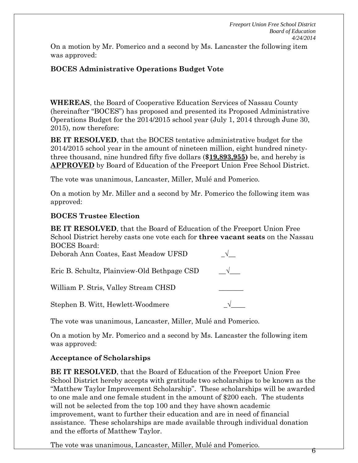On a motion by Mr. Pomerico and a second by Ms. Lancaster the following item was approved:

# **BOCES Administrative Operations Budget Vote**

**WHEREAS**, the Board of Cooperative Education Services of Nassau County (hereinafter "BOCES") has proposed and presented its Proposed Administrative Operations Budget for the 2014/2015 school year (July 1, 2014 through June 30, 2015), now therefore:

**BE IT RESOLVED**, that the BOCES tentative administrative budget for the 2014/2015 school year in the amount of nineteen million, eight hundred ninetythree thousand, nine hundred fifty five dollars (**\$19,893,955)** be, and hereby is **APPROVED** by Board of Education of the Freeport Union Free School District.

The vote was unanimous, Lancaster, Miller, Mulé and Pomerico.

On a motion by Mr. Miller and a second by Mr. Pomerico the following item was approved:

# **BOCES Trustee Election**

**BE IT RESOLVED**, that the Board of Education of the Freeport Union Free School District hereby casts one vote each for **three vacant seats** on the Nassau BOCES Board:

| Deborah Ann Coates, East Meadow UFSD        |            |
|---------------------------------------------|------------|
| Eric B. Schultz, Plainview-Old Bethpage CSD | $\sqrt{ }$ |
| William P. Stris, Valley Stream CHSD        |            |
| Stephen B. Witt, Hewlett-Woodmere           |            |

The vote was unanimous, Lancaster, Miller, Mulé and Pomerico.

On a motion by Mr. Pomerico and a second by Ms. Lancaster the following item was approved:

# **Acceptance of Scholarships**

**BE IT RESOLVED**, that the Board of Education of the Freeport Union Free School District hereby accepts with gratitude two scholarships to be known as the "Matthew Taylor Improvement Scholarship". These scholarships will be awarded to one male and one female student in the amount of \$200 each. The students will not be selected from the top 100 and they have shown academic improvement, want to further their education and are in need of financial assistance. These scholarships are made available through individual donation and the efforts of Matthew Taylor.

The vote was unanimous, Lancaster, Miller, Mulé and Pomerico. <sup>6</sup>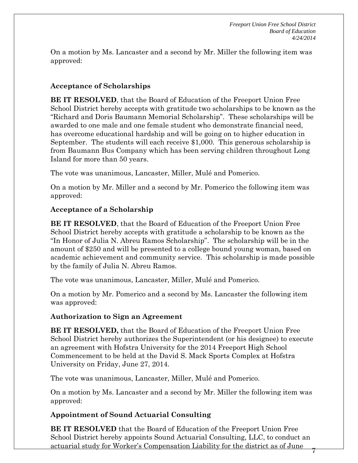On a motion by Ms. Lancaster and a second by Mr. Miller the following item was approved:

## **Acceptance of Scholarships**

**BE IT RESOLVED**, that the Board of Education of the Freeport Union Free School District hereby accepts with gratitude two scholarships to be known as the "Richard and Doris Baumann Memorial Scholarship". These scholarships will be awarded to one male and one female student who demonstrate financial need, has overcome educational hardship and will be going on to higher education in September. The students will each receive \$1,000. This generous scholarship is from Baumann Bus Company which has been serving children throughout Long Island for more than 50 years.

The vote was unanimous, Lancaster, Miller, Mulé and Pomerico.

On a motion by Mr. Miller and a second by Mr. Pomerico the following item was approved:

## **Acceptance of a Scholarship**

**BE IT RESOLVED**, that the Board of Education of the Freeport Union Free School District hereby accepts with gratitude a scholarship to be known as the "In Honor of Julia N. Abreu Ramos Scholarship". The scholarship will be in the amount of \$250 and will be presented to a college bound young woman, based on academic achievement and community service. This scholarship is made possible by the family of Julia N. Abreu Ramos.

The vote was unanimous, Lancaster, Miller, Mulé and Pomerico.

On a motion by Mr. Pomerico and a second by Ms. Lancaster the following item was approved:

## **Authorization to Sign an Agreement**

**BE IT RESOLVED,** that the Board of Education of the Freeport Union Free School District hereby authorizes the Superintendent (or his designee) to execute an agreement with Hofstra University for the 2014 Freeport High School Commencement to be held at the David S. Mack Sports Complex at Hofstra University on Friday, June 27, 2014.

The vote was unanimous, Lancaster, Miller, Mulé and Pomerico.

On a motion by Ms. Lancaster and a second by Mr. Miller the following item was approved:

## **Appointment of Sound Actuarial Consulting**

**BE IT RESOLVED** that the Board of Education of the Freeport Union Free School District hereby appoints Sound Actuarial Consulting, LLC, to conduct an actuarial study for Worker's Compensation Liability for the district as of June 7